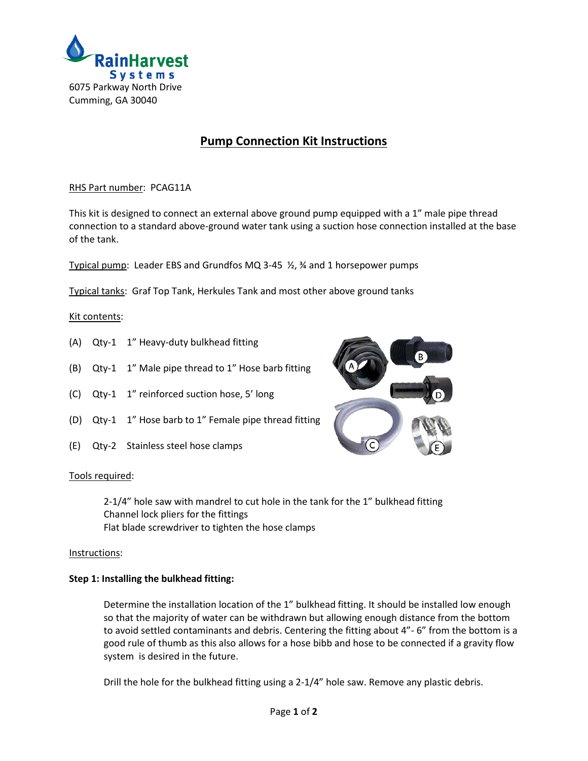

# **Pump Connection Kit Instructions**

# RHS Part number: PCAG11A

This kit is designed to connect an external above ground pump equipped with a 1" male pipe thread connection to a standard above-ground water tank using a suction hose connection installed at the base of the tank.

Typical pump: Leader EBS and Grundfos MQ 3-45 ½, ¾ and 1 horsepower pumps

Typical tanks: Graf Top Tank, Herkules Tank and most other above ground tanks

# Kit contents:

- (A) Qty-1 1" Heavy-duty bulkhead fitting
- (B) Qty-1 1" Male pipe thread to 1" Hose barb fitting
- (C) Qty-1 1" reinforced suction hose, 5' long
- (D) Qty-1 1" Hose barb to 1" Female pipe thread fitting
- (E) Qty-2 Stainless steel hose clamps



#### Tools required:

2-1/4" hole saw with mandrel to cut hole in the tank for the 1" bulkhead fitting Channel lock pliers for the fittings Flat blade screwdriver to tighten the hose clamps

#### Instructions:

#### **Step 1: Installing the bulkhead fitting:**

Determine the installation location of the 1" bulkhead fitting. It should be installed low enough so that the majority of water can be withdrawn but allowing enough distance from the bottom to avoid settled contaminants and debris. Centering the fitting about 4"- 6" from the bottom is a good rule of thumb as this also allows for a hose bibb and hose to be connected if a gravity flow system is desired in the future.

Drill the hole for the bulkhead fitting using a 2-1/4" hole saw. Remove any plastic debris.